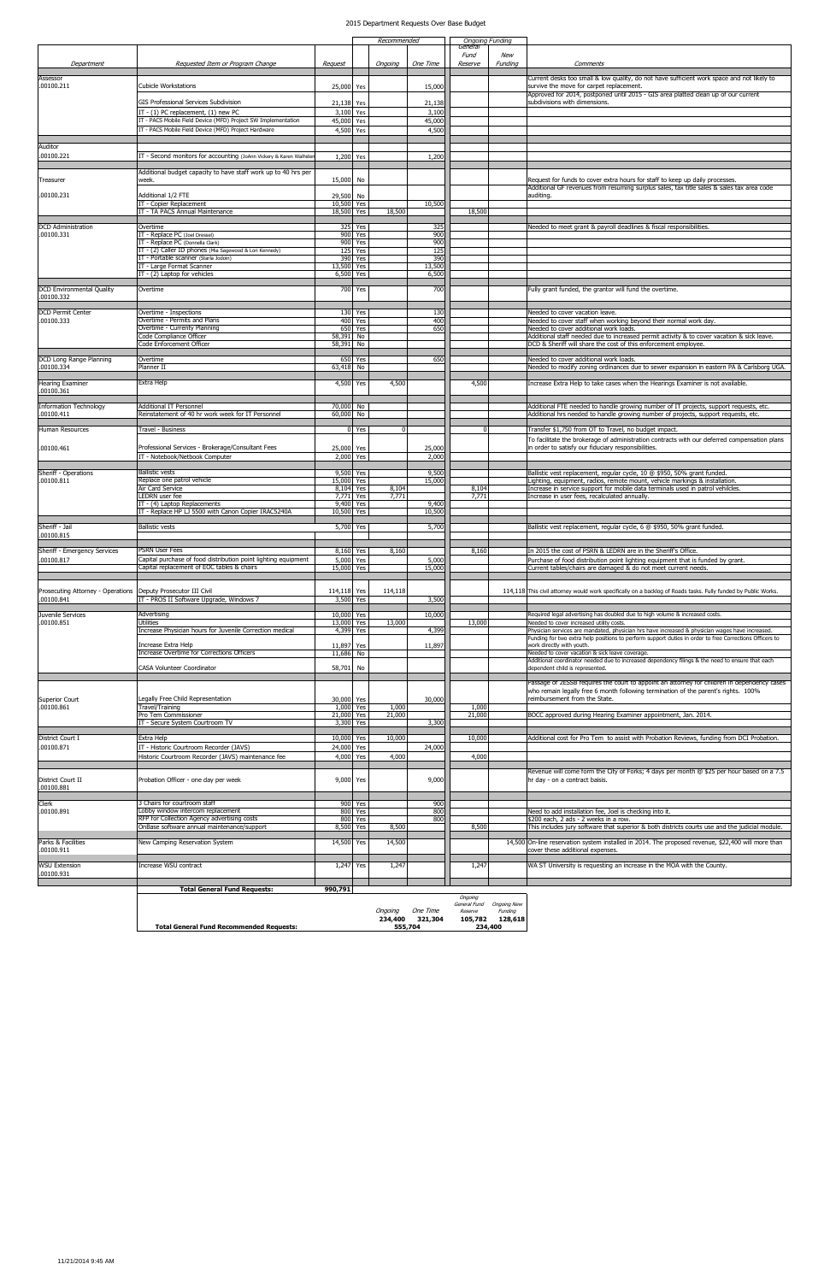|                                    |                                                                                                                       |                          | Recommended        |         | <b>Ongoing Funding</b><br>General |                         |                            |                                                                                                                                                                                                            |
|------------------------------------|-----------------------------------------------------------------------------------------------------------------------|--------------------------|--------------------|---------|-----------------------------------|-------------------------|----------------------------|------------------------------------------------------------------------------------------------------------------------------------------------------------------------------------------------------------|
| Department                         | Requested Item or Program Change                                                                                      | Request                  |                    | Ongoing | One Time                          | Fund<br>Reserve         | New<br>Funding             | Comments                                                                                                                                                                                                   |
| Assessor<br>.00100.211             | Cubicle Workstations                                                                                                  |                          |                    |         |                                   |                         |                            | Current desks too small & low quality, do not have sufficient work space and not likely to                                                                                                                 |
|                                    |                                                                                                                       | 25,000 Yes               |                    |         | 15,000                            |                         |                            | survive the move for carpet replacement.<br>Approved for 2014, postponed until 2015 - GIS area platted clean up of our current                                                                             |
|                                    | GIS Professional Services Subdivision<br>IT - (1) PC replacement, (1) new PC                                          | 21,138 Yes<br>3,100      | Yes                |         | 21,138<br>3,100                   |                         |                            | subdivisions with dimensions.                                                                                                                                                                              |
|                                    | IT - PACS Mobile Field Device (MFD) Project SW Implementation<br>IT - PACS Mobile Field Device (MFD) Project Hardware | 45,000                   | Yes                |         | 45,000                            |                         |                            |                                                                                                                                                                                                            |
|                                    |                                                                                                                       | 4,500                    | Yes                |         | 4,500                             |                         |                            |                                                                                                                                                                                                            |
| Auditor<br>.00100.221              | IT - Second monitors for accounting (JoAnn Vickery & Karen Walhster                                                   | 1,200 Yes                |                    |         | 1,200                             |                         |                            |                                                                                                                                                                                                            |
|                                    | Additional budget capacity to have staff work up to 40 hrs per                                                        |                          |                    |         |                                   |                         |                            |                                                                                                                                                                                                            |
| Treasurer                          | week.                                                                                                                 | 15,000 No                |                    |         |                                   |                         |                            | Request for funds to cover extra hours for staff to keep up daily processes.<br>Additional GF revenues from resuming surplus sales, tax title sales & sales tax area code                                  |
| .00100.231                         | Additional 1/2 FTE                                                                                                    | 29,500 No                |                    |         |                                   |                         |                            | auditing.                                                                                                                                                                                                  |
|                                    | IT - Copier Replacement<br>IT - TA PACS Annual Maintenance                                                            | 10,500 Yes<br>18,500     | Yes                | 18,500  | 10,500                            | 18,500                  |                            |                                                                                                                                                                                                            |
| <b>DCD</b> Administration          | Overtime                                                                                                              |                          | 325 Yes            |         | 325                               |                         |                            | Needed to meet grant & payroll deadlines & fiscal responsibilities.                                                                                                                                        |
| .00100.331                         | IT - Replace PC (Joel Dressel)<br>IT - Replace PC (Donnella Clark)                                                    | 900                      | Yes<br>900 Yes     |         | 900<br>900                        |                         |                            |                                                                                                                                                                                                            |
|                                    | IT - (2) Caller ID phones (Mia Sagewood & Lori Kennedy)<br>IT - Portable scanner (Starla Jodoin)                      |                          | 125 Yes<br>390 Yes |         | 125<br>390                        |                         |                            |                                                                                                                                                                                                            |
|                                    | IT - Large Format Scanner<br>IT - (2) Laptop for vehicles                                                             | 13,500<br>6,500          | Yes<br>Yes         |         | 13,500<br>6,500                   |                         |                            |                                                                                                                                                                                                            |
| <b>DCD Environmental Quality</b>   | Overtime                                                                                                              |                          | 700 Yes            |         | 700                               |                         |                            | Fully grant funded, the grantor will fund the overtime.                                                                                                                                                    |
| .00100.332                         |                                                                                                                       |                          |                    |         |                                   |                         |                            |                                                                                                                                                                                                            |
| <b>DCD Permit Center</b>           | Overtime - Inspections                                                                                                |                          | 130 Yes            |         | 130                               |                         |                            | Needed to cover vacation leave.                                                                                                                                                                            |
| .00100.333                         | Overtime - Permits and Plans<br>Overtime - Currenty Planning                                                          | 650                      | 400 Yes<br>Yes     |         | 400<br>650                        |                         |                            | Needed to cover staff when working beyond their normal work day.<br>Needed to cover additional work loads.                                                                                                 |
|                                    | Code Compliance Officer<br>Code Enforcement Officer                                                                   | 58,391 No<br>$58,391$ No |                    |         |                                   |                         |                            | Additional staff needed due to increased permit activity & to cover vacation & sick leave.<br>DCD & Sheriff will share the cost of this enforcement employee.                                              |
| DCD Long Range Planning            | Overtime                                                                                                              |                          | 650 Yes            |         | 650                               |                         |                            | Needed to cover additional work loads.                                                                                                                                                                     |
| .00100.334                         | Planner II                                                                                                            | 63,418 No                |                    |         |                                   |                         |                            | Needed to modify zoning ordinances due to sewer expansion in eastern PA & Carlsborg UGA.                                                                                                                   |
| Hearing Examiner<br>.00100.361     | Extra Help                                                                                                            | 4,500 Yes                |                    | 4,500   |                                   | 4,500                   |                            | Increase Extra Help to take cases when the Hearings Examiner is not available.                                                                                                                             |
| <b>Information Technology</b>      | Additional IT Personnel                                                                                               | 70,000 No                |                    |         |                                   |                         |                            | Additional FTE needed to handle growing number of IT projects, support requests, etc.                                                                                                                      |
| .00100.411                         | Reinstatement of 40 hr work week for IT Personnel                                                                     | 60,000                   | No                 |         |                                   |                         |                            | Additional hrs needed to handle growing number of projects, support requests, etc.                                                                                                                         |
| Human Resources                    | Travel - Business                                                                                                     |                          | 0 Yes              |         |                                   | $\Omega$                |                            | Transfer \$1,750 from OT to Travel, no budget impact.                                                                                                                                                      |
| .00100.461                         | Professional Services - Brokerage/Consultant Fees                                                                     | 25,000 Yes               |                    |         | 25,000                            |                         |                            | To facilitate the brokerage of administration contracts with our deferred compensation plans<br>in order to satisfy our fiduciary responsibilities.                                                        |
|                                    | IT - Notebook/Netbook Computer                                                                                        | 2,000                    | Yes                |         | 2,000                             |                         |                            |                                                                                                                                                                                                            |
| <b>Sheriff - Operations</b>        | <b>Ballistic vests</b>                                                                                                |                          | 9,500 Yes          |         | 9,500                             |                         |                            | Ballistic vest replacement, regular cycle, 10 @ \$950, 50% grant funded.                                                                                                                                   |
| .00100.811                         | Replace one patrol vehicle<br>Air Card Service                                                                        | 15,000 Yes               | 8,104 Yes          | 8,104   | 15,000                            | 8,104                   |                            | Lighting, equipment, radios, remote mount, vehicle markings & installation.<br>Increase in service support for mobile data terminals used in patrol vehilcles.                                             |
|                                    | LEDRN user fee<br>IT - (4) Laptop Replacements                                                                        | 9,400                    | $7,771$ Yes<br>Yes | 7,771   | 9,400                             | 7,771                   |                            | Increase in user fees, recalculated annually.                                                                                                                                                              |
|                                    | IT - Replace HP LJ 5500 with Canon Copier IRAC5240A                                                                   | 10,500 Yes               |                    |         | 10,500                            |                         |                            |                                                                                                                                                                                                            |
| Sheriff - Jail<br>.00100.815       | <b>Ballistic vests</b>                                                                                                |                          | 5,700 Yes          |         | 5,700                             |                         |                            | Ballistic vest replacement, regular cycle, 6 @ \$950, 50% grant funded                                                                                                                                     |
| Sheriff - Emergency Services       | PSRN User Fees                                                                                                        |                          | 8,160 Yes          | 8,160   |                                   | 8,160                   |                            | In 2015 the cost of PSRN & LEDRN are in the Sheriff's Office.                                                                                                                                              |
| .00100.817                         | Capital purchase of food distribution point lighting equipment<br>Capital replacement of EOC tables & chairs          | 5,000<br>15,000          | Yes<br>Yes         |         | 5,000<br>15,000                   |                         |                            | Purchase of food distribution point lighting equipment that is funded by grant.<br>Current tables/chairs are damaged & do not meet current needs.                                                          |
|                                    |                                                                                                                       |                          |                    |         |                                   |                         |                            |                                                                                                                                                                                                            |
| Prosecuting Attorney - Operations  | Deputy Prosecutor III Civil                                                                                           | 114,118 Yes              |                    | 114,118 |                                   |                         |                            | 114,118 This civil attorney would work specifically on a backlog of Roads tasks. Fully funded by Public Works.                                                                                             |
| .00100.841                         | IT - PROS II Software Upgrade, Windows 7                                                                              |                          | 3,500 Yes          |         | 3,500                             |                         |                            |                                                                                                                                                                                                            |
| Juvenile Services<br>.00100.851    | Advertising<br>Utilities                                                                                              | 10,000 Yes<br>13,000     | Yes                | 13,000  | 10,000                            | 13,000                  |                            | Required legal advertising has doubled due to high volume & increased costs.<br>Needed to cover increased utility costs.                                                                                   |
|                                    | Increase Physician hours for Juvenile Correction medical                                                              | 4,399                    | Yes                |         | 4,399                             |                         |                            | Physician services are mandated, physician hrs have increased & physician wages have increased.<br>Funding for two extra help positions to perform support duties in order to free Corrections Officers to |
|                                    | Increase Extra Help<br>Increase Overtime for Corrections Officers                                                     | 11,897 Yes<br>11,686 No  |                    |         | 11,897                            |                         |                            | work directly with youth.<br>Needed to cover vacation & sick leave coverage.                                                                                                                               |
|                                    | CASA Volunteer Coordinator                                                                                            | 58,701 No                |                    |         |                                   |                         |                            | Additional coordinator needed due to increased dependency filings & the need to ensure that each<br>dependent child is represented.                                                                        |
|                                    |                                                                                                                       |                          |                    |         |                                   |                         |                            | Passage of 2ESSB requires the court to appoint an attorney for children in dependency cases                                                                                                                |
| <b>Superior Court</b>              | Legally Free Child Representation                                                                                     | 30,000 Yes               |                    |         | 30,000                            |                         |                            | who remain legally free 6 month following termination of the parent's rights. 100%<br>reimbursement from the State.                                                                                        |
| .00100.861                         | Travel/Training                                                                                                       |                          | 1,000 Yes          | 1,000   |                                   | 1,000                   |                            |                                                                                                                                                                                                            |
|                                    | Pro Tem Commissioner<br>IT - Secure System Courtroom TV                                                               | 21,000                   | Yes<br>3,300 Yes   | 21,000  | 3,300                             | 21,000                  |                            | BOCC approved during Hearing Examiner appointment, Jan. 2014.                                                                                                                                              |
| District Court I                   | Extra Help                                                                                                            | 10,000 Yes               |                    | 10,000  |                                   | 10,000                  |                            | Additional cost for Pro Tem to assist with Probation Reviews, funding from DCI Probation.                                                                                                                  |
| .00100.871                         | IT - Historic Courtroom Recorder (JAVS)<br>Historic Courtroom Recorder (JAVS) maintenance fee                         | 24,000<br>4,000          | Yes<br>Yes         | 4,000   | 24,000                            | 4,000                   |                            |                                                                                                                                                                                                            |
|                                    |                                                                                                                       |                          |                    |         |                                   |                         |                            | Revenue will come form the City of Forks; 4 days per month @ \$25 per hour based on a 7.5                                                                                                                  |
| District Court II                  | Probation Officer - one day per week                                                                                  | 9,000 Yes                |                    |         | 9,000                             |                         |                            | hr day - on a contract baisis.                                                                                                                                                                             |
| .00100.881                         |                                                                                                                       |                          |                    |         |                                   |                         |                            |                                                                                                                                                                                                            |
| Clerk<br>.00100.891                | 3 Chairs for courtroom staff<br>Lobby window intercom replacement                                                     |                          | 900 Yes<br>800 Yes |         | 900<br>800                        |                         |                            | Need to add installation fee, Joel is checking into it.                                                                                                                                                    |
|                                    | RFP for Collection Agency advertising costs<br>OnBase software annual maintenance/support                             | 800<br>8,500             | Yes<br>Yes         | 8,500   | 800                               | 8,500                   |                            | \$200 each, 2 ads - 2 weeks in a row.<br>This includes jury software that superior & both districts courts use and the judicial module.                                                                    |
| Parks & Facilities                 | New Camping Reservation System                                                                                        | 14,500                   | Yes                | 14,500  |                                   |                         |                            | 14,500 On-line reservation system installed in 2014. The proposed revenue, \$22,400 will more than                                                                                                         |
| .00100.911                         |                                                                                                                       |                          |                    |         |                                   |                         |                            | cover these additional expenses.                                                                                                                                                                           |
| <b>WSU Extension</b><br>.00100.931 | Increase WSU contract                                                                                                 |                          | 1,247 Yes          | 1,247   |                                   | 1,247                   |                            | WA ST University is requesting an increase in the MOA with the County.                                                                                                                                     |
|                                    | <b>Total General Fund Requests:</b>                                                                                   | 990,791                  |                    |         |                                   |                         |                            |                                                                                                                                                                                                            |
|                                    |                                                                                                                       |                          |                    |         |                                   | Ongoing<br>General Fund | <b>Ongoing New</b>         |                                                                                                                                                                                                            |
|                                    |                                                                                                                       |                          |                    | Ongoing | One Time                          | Reserve                 | Funding<br>105,782 128,618 |                                                                                                                                                                                                            |
|                                    | 234,400 321,304<br><b>Total General Fund Recommended Requests:</b><br>555,704                                         |                          |                    |         |                                   |                         | 234,400                    |                                                                                                                                                                                                            |

## 2015 Department Requests Over Base Budget